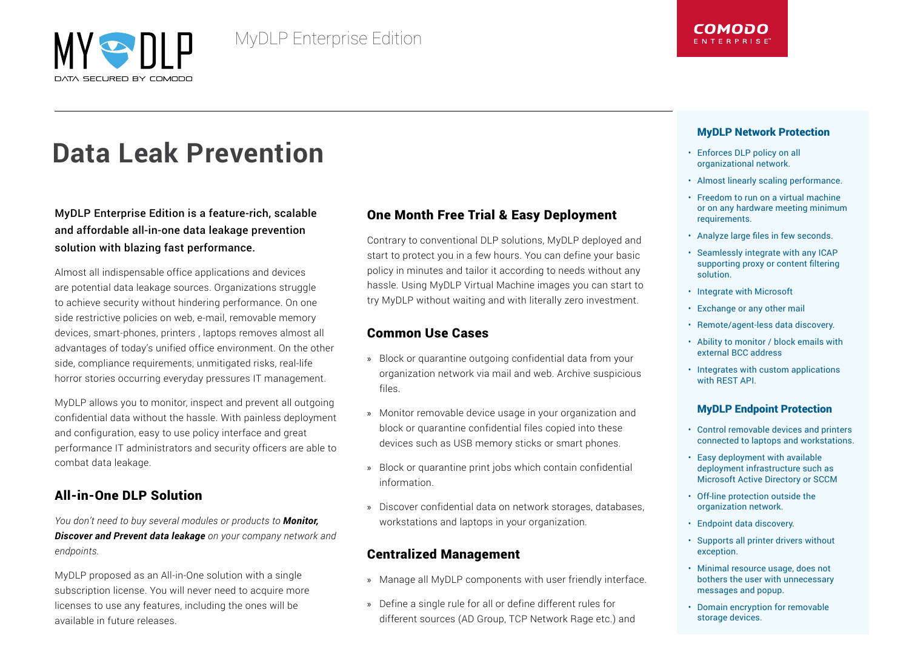

# **Data Leak Prevention**

# MyDLP Enterprise Edition is a feature-rich, scalable and affordable all-in-one data leakage prevention solution with blazing fast performance.

Almost all indispensable office applications and devices are potential data leakage sources. Organizations struggle to achieve security without hindering performance. On one side restrictive policies on web, e-mail, removable memory devices, smart-phones, printers , laptops removes almost all advantages of today's unified office environment. On the other side, compliance requirements, unmitigated risks, real-life horror stories occurring everyday pressures IT management.

MyDLP allows you to monitor, inspect and prevent all outgoing confidential data without the hassle. With painless deployment and configuration, easy to use policy interface and great performance IT administrators and security officers are able to combat data leakage.

# All-in-One DLP Solution

*You don't need to buy several modules or products to Monitor, Discover and Prevent data leakage on your company network and endpoints.*

MyDLP proposed as an All-in-One solution with a single subscription license. You will never need to acquire more licenses to use any features, including the ones will be available in future releases.

# One Month Free Trial & Easy Deployment

Contrary to conventional DLP solutions, MyDLP deployed and start to protect you in a few hours. You can define your basic policy in minutes and tailor it according to needs without any hassle. Using MyDLP Virtual Machine images you can start to try MyDLP without waiting and with literally zero investment.

## Common Use Cases

- » Block or quarantine outgoing confidential data from your organization network via mail and web. Archive suspicious files.
- » Monitor removable device usage in your organization and block or quarantine confidential files copied into these devices such as USB memory sticks or smart phones.
- » Block or quarantine print jobs which contain confidential information.
- » Discover confidential data on network storages, databases, workstations and laptops in your organization.

# Centralized Management

- » Manage all MyDLP components with user friendly interface.
- » Define a single rule for all or define different rules for different sources (AD Group, TCP Network Rage etc.) and

#### MyDLP Network Protection

- Enforces DLP policy on all organizational network.
- Almost linearly scaling performance.
- Freedom to run on a virtual machine or on any hardware meeting minimum requirements.
- Analyze large files in few seconds.
- Seamlessly integrate with any ICAP supporting proxy or content filtering solution.
- Integrate with Microsoft
- Exchange or any other mail
- Remote/agent-less data discovery.
- Ability to monitor / block emails with external BCC address
- Integrates with custom applications with REST API.

#### MyDLP Endpoint Protection

- Control removable devices and printers connected to laptops and workstations.
- Easy deployment with available deployment infrastructure such as Microsoft Active Directory or SCCM
- Off-line protection outside the organization network.
- Endpoint data discovery.
- Supports all printer drivers without exception.
- Minimal resource usage, does not bothers the user with unnecessary messages and popup.
- Domain encryption for removable storage devices.